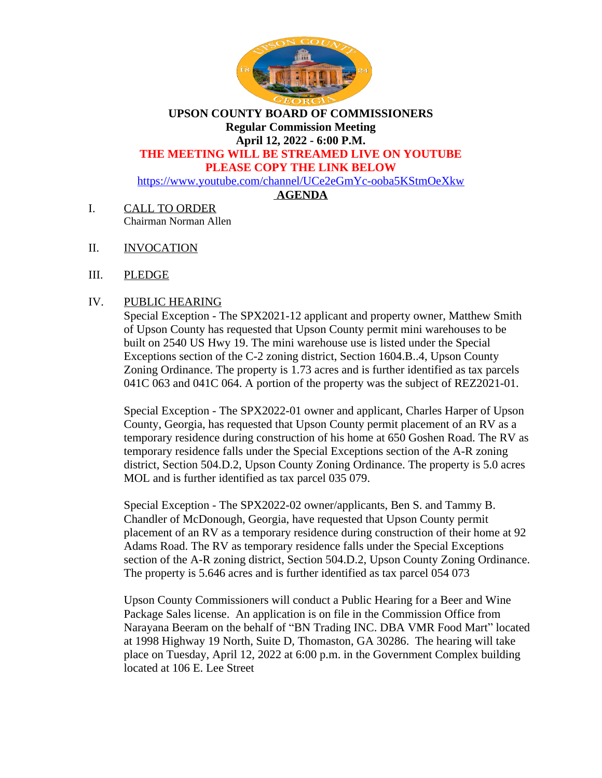

**UPSON COUNTY BOARD OF COMMISSIONERS Regular Commission Meeting April 12, 2022 - 6:00 P.M. THE MEETING WILL BE STREAMED LIVE ON YOUTUBE**

### **PLEASE COPY THE LINK BELOW**

<https://www.youtube.com/channel/UCe2eGmYc-ooba5KStmOeXkw>

# **AGENDA**

- I. CALL TO ORDER Chairman Norman Allen
- II. INVOCATION
- III. PLEDGE

# IV. PUBLIC HEARING

Special Exception - The SPX2021-12 applicant and property owner, Matthew Smith of Upson County has requested that Upson County permit mini warehouses to be built on 2540 US Hwy 19. The mini warehouse use is listed under the Special Exceptions section of the C-2 zoning district, Section 1604.B..4, Upson County Zoning Ordinance. The property is 1.73 acres and is further identified as tax parcels 041C 063 and 041C 064. A portion of the property was the subject of REZ2021-01.

Special Exception - The SPX2022-01 owner and applicant, Charles Harper of Upson County, Georgia, has requested that Upson County permit placement of an RV as a temporary residence during construction of his home at 650 Goshen Road. The RV as temporary residence falls under the Special Exceptions section of the A-R zoning district, Section 504.D.2, Upson County Zoning Ordinance. The property is 5.0 acres MOL and is further identified as tax parcel 035 079.

Special Exception - The SPX2022-02 owner/applicants, Ben S. and Tammy B. Chandler of McDonough, Georgia, have requested that Upson County permit placement of an RV as a temporary residence during construction of their home at 92 Adams Road. The RV as temporary residence falls under the Special Exceptions section of the A-R zoning district, Section 504.D.2, Upson County Zoning Ordinance. The property is 5.646 acres and is further identified as tax parcel 054 073

Upson County Commissioners will conduct a Public Hearing for a Beer and Wine Package Sales license. An application is on file in the Commission Office from Narayana Beeram on the behalf of "BN Trading INC. DBA VMR Food Mart" located at 1998 Highway 19 North, Suite D, Thomaston, GA 30286. The hearing will take place on Tuesday, April 12, 2022 at 6:00 p.m. in the Government Complex building located at 106 E. Lee Street